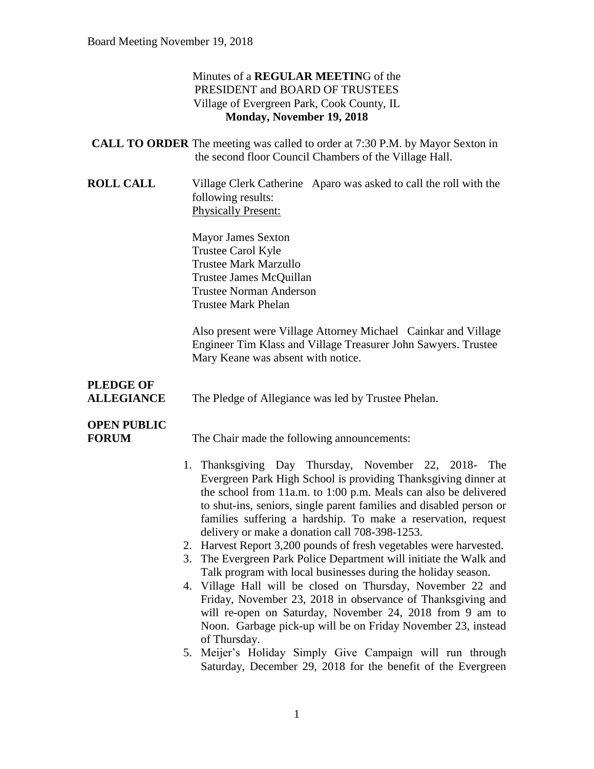### Minutes of a **REGULAR MEETIN**G of the PRESIDENT and BOARD OF TRUSTEES Village of Evergreen Park, Cook County, IL **Monday, November 19, 2018**

| <b>CALL TO ORDER</b> The meeting was called to order at 7:30 P.M. by Mayor Sexton in |
|--------------------------------------------------------------------------------------|
| the second floor Council Chambers of the Village Hall.                               |

**ROLL CALL** Village Clerk Catherine Aparo was asked to call the roll with the following results: Physically Present:

> Mayor James Sexton Trustee Carol Kyle Trustee Mark Marzullo Trustee James McQuillan Trustee Norman Anderson Trustee Mark Phelan

Also present were Village Attorney Michael Cainkar and Village Engineer Tim Klass and Village Treasurer John Sawyers. Trustee Mary Keane was absent with notice.

# **PLEDGE OF**

**ALLEGIANCE** The Pledge of Allegiance was led by Trustee Phelan.

# **OPEN PUBLIC**

**FORUM** The Chair made the following announcements:

- 1. Thanksgiving Day Thursday, November 22, 2018- The Evergreen Park High School is providing Thanksgiving dinner at the school from 11a.m. to 1:00 p.m. Meals can also be delivered to shut-ins, seniors, single parent families and disabled person or families suffering a hardship. To make a reservation, request delivery or make a donation call 708-398-1253.
- 2. Harvest Report 3,200 pounds of fresh vegetables were harvested.
- 3. The Evergreen Park Police Department will initiate the Walk and Talk program with local businesses during the holiday season.
- 4. Village Hall will be closed on Thursday, November 22 and Friday, November 23, 2018 in observance of Thanksgiving and will re-open on Saturday, November 24, 2018 from 9 am to Noon. Garbage pick-up will be on Friday November 23, instead of Thursday.
- 5. Meijer's Holiday Simply Give Campaign will run through Saturday, December 29, 2018 for the benefit of the Evergreen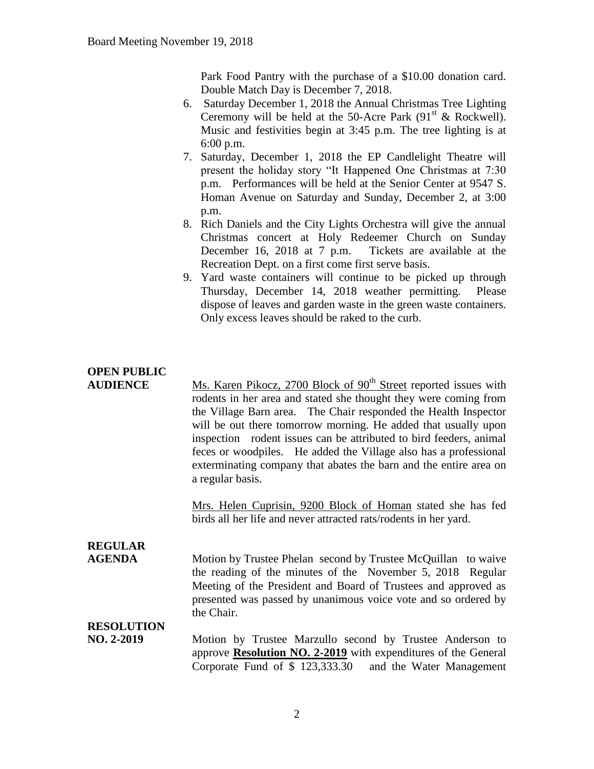Park Food Pantry with the purchase of a \$10.00 donation card. Double Match Day is December 7, 2018.

- 6. Saturday December 1, 2018 the Annual Christmas Tree Lighting Ceremony will be held at the 50-Acre Park  $(91<sup>st</sup> \&$  Rockwell). Music and festivities begin at 3:45 p.m. The tree lighting is at 6:00 p.m.
- 7. Saturday, December 1, 2018 the EP Candlelight Theatre will present the holiday story "It Happened One Christmas at 7:30 p.m. Performances will be held at the Senior Center at 9547 S. Homan Avenue on Saturday and Sunday, December 2, at 3:00 p.m.
- 8. Rich Daniels and the City Lights Orchestra will give the annual Christmas concert at Holy Redeemer Church on Sunday December 16, 2018 at 7 p.m. Tickets are available at the Recreation Dept. on a first come first serve basis.
- 9. Yard waste containers will continue to be picked up through Thursday, December 14, 2018 weather permitting. Please dispose of leaves and garden waste in the green waste containers. Only excess leaves should be raked to the curb.

## **OPEN PUBLIC**

**AUDIENCE** Ms. Karen Pikocz, 2700 Block of 90<sup>th</sup> Street reported issues with rodents in her area and stated she thought they were coming from the Village Barn area. The Chair responded the Health Inspector will be out there tomorrow morning. He added that usually upon inspection rodent issues can be attributed to bird feeders, animal feces or woodpiles. He added the Village also has a professional exterminating company that abates the barn and the entire area on a regular basis.

> Mrs. Helen Cuprisin, 9200 Block of Homan stated she has fed birds all her life and never attracted rats/rodents in her yard.

## **REGULAR**

**AGENDA** Motion by Trustee Phelan second by Trustee McQuillan to waive the reading of the minutes of the November 5, 2018 Regular Meeting of the President and Board of Trustees and approved as presented was passed by unanimous voice vote and so ordered by the Chair.

### **RESOLUTION**

**NO. 2-2019** Motion by Trustee Marzullo second by Trustee Anderson to approve **Resolution NO. 2-2019** with expenditures of the General Corporate Fund of \$ 123,333.30 and the Water Management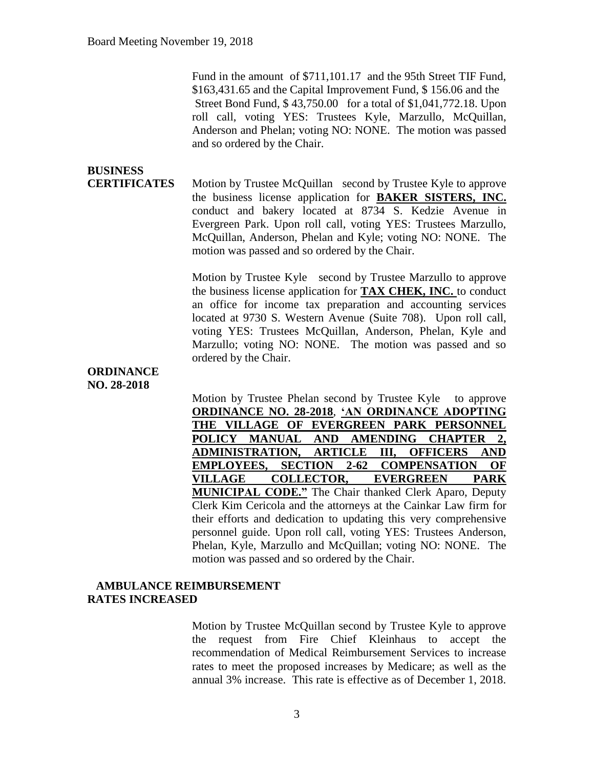Fund in the amount of \$711,101.17 and the 95th Street TIF Fund, \$163,431.65 and the Capital Improvement Fund, \$ 156.06 and the Street Bond Fund, \$ 43,750.00 for a total of \$1,041,772.18. Upon roll call, voting YES: Trustees Kyle, Marzullo, McQuillan, Anderson and Phelan; voting NO: NONE. The motion was passed and so ordered by the Chair.

# **BUSINESS**

**CERTIFICATES** Motion by Trustee McQuillan second by Trustee Kyle to approve the business license application for **BAKER SISTERS, INC.** conduct and bakery located at 8734 S. Kedzie Avenue in Evergreen Park. Upon roll call, voting YES: Trustees Marzullo, McQuillan, Anderson, Phelan and Kyle; voting NO: NONE. The motion was passed and so ordered by the Chair.

> Motion by Trustee Kyle second by Trustee Marzullo to approve the business license application for **TAX CHEK, INC.** to conduct an office for income tax preparation and accounting services located at 9730 S. Western Avenue (Suite 708). Upon roll call, voting YES: Trustees McQuillan, Anderson, Phelan, Kyle and Marzullo; voting NO: NONE. The motion was passed and so ordered by the Chair.

#### **ORDINANCE NO. 28-2018**

Motion by Trustee Phelan second by Trustee Kyle to approve **ORDINANCE NO. 28-2018**, **'AN ORDINANCE ADOPTING THE VILLAGE OF EVERGREEN PARK PERSONNEL POLICY MANUAL AND AMENDING CHAPTER 2, ADMINISTRATION, ARTICLE III, OFFICERS AND EMPLOYEES, SECTION 2-62 COMPENSATION OF VILLAGE COLLECTOR, EVERGREEN PARK MUNICIPAL CODE."** The Chair thanked Clerk Aparo, Deputy Clerk Kim Cericola and the attorneys at the Cainkar Law firm for their efforts and dedication to updating this very comprehensive personnel guide. Upon roll call, voting YES: Trustees Anderson, Phelan, Kyle, Marzullo and McQuillan; voting NO: NONE. The motion was passed and so ordered by the Chair.

#### **AMBULANCE REIMBURSEMENT RATES INCREASED**

Motion by Trustee McQuillan second by Trustee Kyle to approve the request from Fire Chief Kleinhaus to accept the recommendation of Medical Reimbursement Services to increase rates to meet the proposed increases by Medicare; as well as the annual 3% increase. This rate is effective as of December 1, 2018.